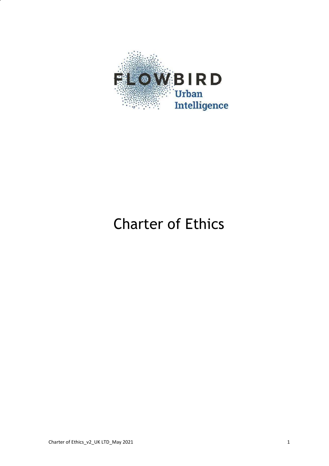

# Charter of Ethics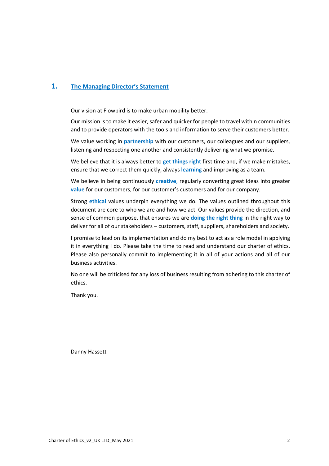# **1. The Managing Director's Statement**

Our vision at Flowbird is to make urban mobility better.

Our mission is to make it easier, safer and quicker for people to travel within communities and to provide operators with the tools and information to serve their customers better.

We value working in **partnership** with our customers, our colleagues and our suppliers, listening and respecting one another and consistently delivering what we promise.

We believe that it is always better to **get things right** first time and, if we make mistakes, ensure that we correct them quickly, always **learning** and improving as a team.

We believe in being continuously **creative**, regularly converting great ideas into greater **value** for our customers, for our customer's customers and for our company.

Strong **ethical** values underpin everything we do. The values outlined throughout this document are core to who we are and how we act. Our values provide the direction, and sense of common purpose, that ensures we are **doing the right thing** in the right way to deliver for all of our stakeholders – customers, staff, suppliers, shareholders and society.

I promise to lead on its implementation and do my best to act as a role model in applying it in everything I do. Please take the time to read and understand our charter of ethics. Please also personally commit to implementing it in all of your actions and all of our business activities.

No one will be criticised for any loss of business resulting from adhering to this charter of ethics.

Thank you.

Danny Hassett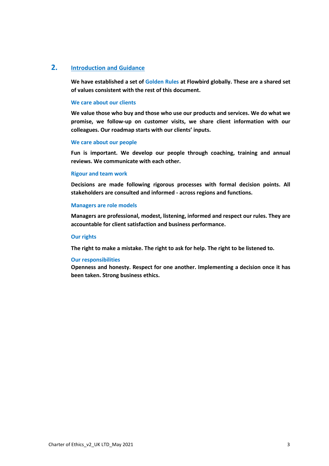# **2. Introduction and Guidance**

**We have established a set of Golden Rules at Flowbird globally. These are a shared set of values consistent with the rest of this document.**

#### **We care about our clients**

**We value those who buy and those who use our products and services. We do what we promise, we follow-up on customer visits, we share client information with our colleagues. Our roadmap starts with our clients' inputs.**

#### **We care about our people**

**Fun is important. We develop our people through coaching, training and annual reviews. We communicate with each other.**

#### **Rigour and team work**

**Decisions are made following rigorous processes with formal decision points. All stakeholders are consulted and informed - across regions and functions.**

#### **Managers are role models**

**Managers are professional, modest, listening, informed and respect our rules. They are accountable for client satisfaction and business performance.**

#### **Our rights**

**The right to make a mistake. The right to ask for help. The right to be listened to.**

## **Our responsibilities**

**Openness and honesty. Respect for one another. Implementing a decision once it has been taken. Strong business ethics.**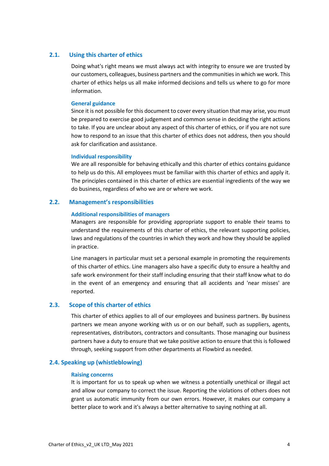# **2.1. Using this charter of ethics**

Doing what's right means we must always act with integrity to ensure we are trusted by our customers, colleagues, business partners and the communities in which we work. This charter of ethics helps us all make informed decisions and tells us where to go for more information.

# **General guidance**

Since it is not possible for this document to cover every situation that may arise, you must be prepared to exercise good judgement and common sense in deciding the right actions to take. If you are unclear about any aspect of this charter of ethics, or if you are not sure how to respond to an issue that this charter of ethics does not address, then you should ask for clarification and assistance.

## **Individual responsibility**

We are all responsible for behaving ethically and this charter of ethics contains guidance to help us do this. All employees must be familiar with this charter of ethics and apply it. The principles contained in this charter of ethics are essential ingredients of the way we do business, regardless of who we are or where we work.

# **2.2. Management's responsibilities**

## **Additional responsibilities of managers**

Managers are responsible for providing appropriate support to enable their teams to understand the requirements of this charter of ethics, the relevant supporting policies, laws and regulations of the countries in which they work and how they should be applied in practice.

Line managers in particular must set a personal example in promoting the requirements of this charter of ethics. Line managers also have a specific duty to ensure a healthy and safe work environment for their staff including ensuring that their staff know what to do in the event of an emergency and ensuring that all accidents and 'near misses' are reported.

## **2.3. Scope of this charter of ethics**

This charter of ethics applies to all of our employees and business partners. By business partners we mean anyone working with us or on our behalf, such as suppliers, agents, representatives, distributors, contractors and consultants. Those managing our business partners have a duty to ensure that we take positive action to ensure that this is followed through, seeking support from other departments at Flowbird as needed.

# **2.4. Speaking up (whistleblowing)**

#### **Raising concerns**

It is important for us to speak up when we witness a potentially unethical or illegal act and allow our company to correct the issue. Reporting the violations of others does not grant us automatic immunity from our own errors. However, it makes our company a better place to work and it's always a better alternative to saying nothing at all.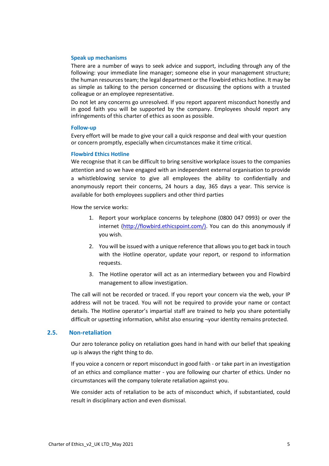## **Speak up mechanisms**

There are a number of ways to seek advice and support, including through any of the following: your immediate line manager; someone else in your management structure; the human resources team; the legal department or the Flowbird ethics hotline. It may be as simple as talking to the person concerned or discussing the options with a trusted colleague or an employee representative.

Do not let any concerns go unresolved. If you report apparent misconduct honestly and in good faith you will be supported by the company. Employees should report any infringements of this charter of ethics as soon as possible.

#### **Follow-up**

Every effort will be made to give your call a quick response and deal with your question or concern promptly, especially when circumstances make it time critical.

## **Flowbird Ethics Hotline**

We recognise that it can be difficult to bring sensitive workplace issues to the companies attention and so we have engaged with an independent external organisation to provide a whistleblowing service to give all employees the ability to confidentially and anonymously report their concerns, 24 hours a day, 365 days a year. This service is available for both employees suppliers and other third parties

How the service works:

- 1. Report your workplace concerns by telephone (0800 047 0993) or over the internet (http://flowbird.ethicspoint.com/). You can do this anonymously if you wish.
- 2. You will be issued with a unique reference that allows you to get back in touch with the Hotline operator, update your report, or respond to information requests.
- 3. The Hotline operator will act as an intermediary between you and Flowbird management to allow investigation.

The call will not be recorded or traced. If you report your concern via the web, your IP address will not be traced. You will not be required to provide your name or contact details. The Hotline operator's impartial staff are trained to help you share potentially difficult or upsetting information, whilst also ensuring ¬your identity remains protected.

# **2.5. Non-retaliation**

Our zero tolerance policy on retaliation goes hand in hand with our belief that speaking up is always the right thing to do.

If you voice a concern or report misconduct in good faith - or take part in an investigation of an ethics and compliance matter - you are following our charter of ethics. Under no circumstances will the company tolerate retaliation against you.

We consider acts of retaliation to be acts of misconduct which, if substantiated, could result in disciplinary action and even dismissal.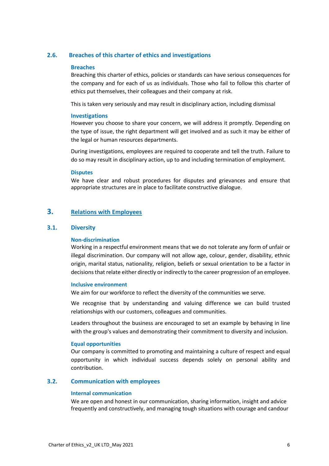# **2.6. Breaches of this charter of ethics and investigations**

# **Breaches**

Breaching this charter of ethics, policies or standards can have serious consequences for the company and for each of us as individuals. Those who fail to follow this charter of ethics put themselves, their colleagues and their company at risk.

This is taken very seriously and may result in disciplinary action, including dismissal

# **Investigations**

However you choose to share your concern, we will address it promptly. Depending on the type of issue, the right department will get involved and as such it may be either of the legal or human resources departments.

During investigations, employees are required to cooperate and tell the truth. Failure to do so may result in disciplinary action, up to and including termination of employment.

## **Disputes**

We have clear and robust procedures for disputes and grievances and ensure that appropriate structures are in place to facilitate constructive dialogue.

# **3. Relations with Employees**

# **3.1. Diversity**

# **Non-discrimination**

Working in a respectful environment means that we do not tolerate any form of unfair or illegal discrimination. Our company will not allow age, colour, gender, disability, ethnic origin, marital status, nationality, religion, beliefs or sexual orientation to be a factor in decisions that relate either directly or indirectly to the career progression of an employee.

## **Inclusive environment**

We aim for our workforce to reflect the diversity of the communities we serve.

We recognise that by understanding and valuing difference we can build trusted relationships with our customers, colleagues and communities.

Leaders throughout the business are encouraged to set an example by behaving in line with the group's values and demonstrating their commitment to diversity and inclusion.

## **Equal opportunities**

Our company is committed to promoting and maintaining a culture of respect and equal opportunity in which individual success depends solely on personal ability and contribution.

# **3.2. Communication with employees**

## **Internal communication**

We are open and honest in our communication, sharing information, insight and advice frequently and constructively, and managing tough situations with courage and candour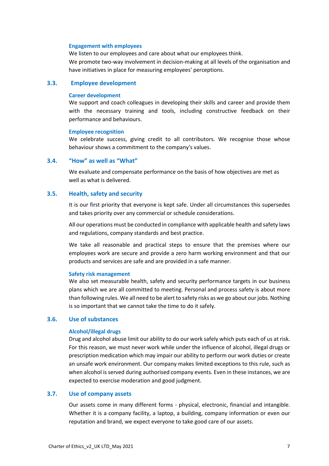#### **Engagement with employees**

We listen to our employees and care about what our employees think. We promote two-way involvement in decision-making at all levels of the organisation and have initiatives in place for measuring employees' perceptions.

# **3.3. Employee development**

## **Career development**

We support and coach colleagues in developing their skills and career and provide them with the necessary training and tools, including constructive feedback on their performance and behaviours.

#### **Employee recognition**

We celebrate success, giving credit to all contributors. We recognise those whose behaviour shows a commitment to the company's values.

# **3.4. "How" as well as "What"**

We evaluate and compensate performance on the basis of how objectives are met as well as what is delivered.

# **3.5. Health, safety and security**

It is our first priority that everyone is kept safe. Under all circumstances this supersedes and takes priority over any commercial or schedule considerations.

All our operations must be conducted in compliance with applicable health and safety laws and regulations, company standards and best practice.

We take all reasonable and practical steps to ensure that the premises where our employees work are secure and provide a zero harm working environment and that our products and services are safe and are provided in a safe manner.

#### **Safety risk management**

We also set measurable health, safety and security performance targets in our business plans which we are all committed to meeting. Personal and process safety is about more than following rules. We all need to be alert to safety risks as we go about our jobs. Nothing is so important that we cannot take the time to do it safely.

# **3.6. Use of substances**

#### **Alcohol/illegal drugs**

Drug and alcohol abuse limit our ability to do our work safely which puts each of us at risk. For this reason, we must never work while under the influence of alcohol, illegal drugs or prescription medication which may impair our ability to perform our work duties or create an unsafe work environment. Our company makes limited exceptions to this rule, such as when alcohol is served during authorised company events. Even in these instances, we are expected to exercise moderation and good judgment.

# **3.7. Use of company assets**

Our assets come in many different forms - physical, electronic, financial and intangible. Whether it is a company facility, a laptop, a building, company information or even our reputation and brand, we expect everyone to take good care of our assets.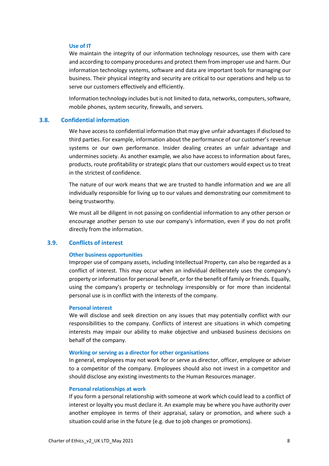## **Use of IT**

We maintain the integrity of our information technology resources, use them with care and according to company procedures and protect them from improper use and harm. Our information technology systems, software and data are important tools for managing our business. Their physical integrity and security are critical to our operations and help us to serve our customers effectively and efficiently.

Information technology includes but is not limited to data, networks, computers, software, mobile phones, system security, firewalls, and servers.

# **3.8. Confidential information**

We have access to confidential information that may give unfair advantages if disclosed to third parties. For example, information about the performance of our customer's revenue systems or our own performance. Insider dealing creates an unfair advantage and undermines society. As another example, we also have access to information about fares, products, route profitability or strategic plans that our customers would expect us to treat in the strictest of confidence.

The nature of our work means that we are trusted to handle information and we are all individually responsible for living up to our values and demonstrating our commitment to being trustworthy.

We must all be diligent in not passing on confidential information to any other person or encourage another person to use our company's information, even if you do not profit directly from the information.

# **3.9. Conflicts of interest**

#### **Other business opportunities**

Improper use of company assets, including Intellectual Property, can also be regarded as a conflict of interest. This may occur when an individual deliberately uses the company's property or information for personal benefit, or for the benefit of family or friends. Equally, using the company's property or technology irresponsibly or for more than incidental personal use is in conflict with the interests of the company.

#### **Personal interest**

We will disclose and seek direction on any issues that may potentially conflict with our responsibilities to the company. Conflicts of interest are situations in which competing interests may impair our ability to make objective and unbiased business decisions on behalf of the company.

#### **Working or serving as a director for other organisations**

In general, employees may not work for or serve as director, officer, employee or adviser to a competitor of the company. Employees should also not invest in a competitor and should disclose any existing investments to the Human Resources manager.

#### **Personal relationships at work**

If you form a personal relationship with someone at work which could lead to a conflict of interest or loyalty you must declare it. An example may be where you have authority over another employee in terms of their appraisal, salary or promotion, and where such a situation could arise in the future (e.g. due to job changes or promotions).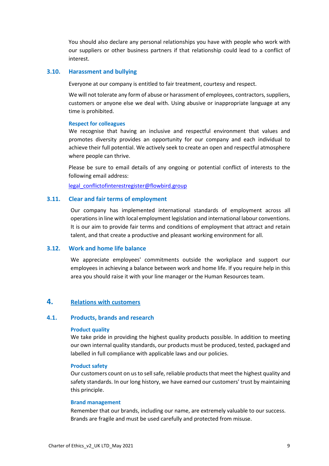You should also declare any personal relationships you have with people who work with our suppliers or other business partners if that relationship could lead to a conflict of interest.

# **3.10. Harassment and bullying**

Everyone at our company is entitled to fair treatment, courtesy and respect.

We will not tolerate any form of abuse or harassment of employees, contractors, suppliers, customers or anyone else we deal with. Using abusive or inappropriate language at any time is prohibited.

#### **Respect for colleagues**

We recognise that having an inclusive and respectful environment that values and promotes diversity provides an opportunity for our company and each individual to achieve their full potential. We actively seek to create an open and respectful atmosphere where people can thrive.

Please be sure to email details of any ongoing or potential conflict of interests to the following email address:

legal\_conflictofinterestregister@flowbird.group

# **3.11. Clear and fair terms of employment**

Our company has implemented international standards of employment across all operations in line with local employment legislation and international labour conventions. It is our aim to provide fair terms and conditions of employment that attract and retain talent, and that create a productive and pleasant working environment for all.

# **3.12. Work and home life balance**

We appreciate employees' commitments outside the workplace and support our employees in achieving a balance between work and home life. If you require help in this area you should raise it with your line manager or the Human Resources team.

# **4. Relations with customers**

#### **4.1. Products, brands and research**

## **Product quality**

We take pride in providing the highest quality products possible. In addition to meeting our own internal quality standards, our products must be produced, tested, packaged and labelled in full compliance with applicable laws and our policies.

# **Product safety**

Our customers count on us to sell safe, reliable products that meet the highest quality and safety standards. In our long history, we have earned our customers' trust by maintaining this principle.

# **Brand management**

Remember that our brands, including our name, are extremely valuable to our success. Brands are fragile and must be used carefully and protected from misuse.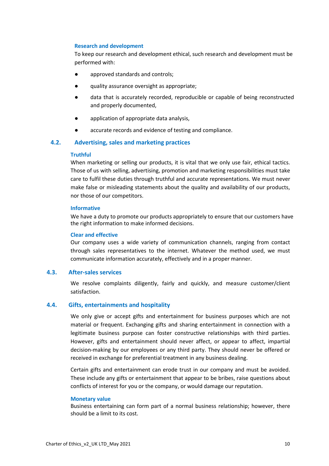# **Research and development**

To keep our research and development ethical, such research and development must be performed with:

- approved standards and controls;
- quality assurance oversight as appropriate;
- data that is accurately recorded, reproducible or capable of being reconstructed and properly documented,
- application of appropriate data analysis,
- accurate records and evidence of testing and compliance.

# **4.2. Advertising, sales and marketing practices**

## **Truthful**

When marketing or selling our products, it is vital that we only use fair, ethical tactics. Those of us with selling, advertising, promotion and marketing responsibilities must take care to fulfil these duties through truthful and accurate representations. We must never make false or misleading statements about the quality and availability of our products, nor those of our competitors.

#### **Informative**

We have a duty to promote our products appropriately to ensure that our customers have the right information to make informed decisions.

#### **Clear and effective**

Our company uses a wide variety of communication channels, ranging from contact through sales representatives to the internet. Whatever the method used, we must communicate information accurately, effectively and in a proper manner.

# **4.3. After-sales services**

We resolve complaints diligently, fairly and quickly, and measure customer/client satisfaction.

## **4.4. Gifts, entertainments and hospitality**

We only give or accept gifts and entertainment for business purposes which are not material or frequent. Exchanging gifts and sharing entertainment in connection with a legitimate business purpose can foster constructive relationships with third parties. However, gifts and entertainment should never affect, or appear to affect, impartial decision-making by our employees or any third party. They should never be offered or received in exchange for preferential treatment in any business dealing.

Certain gifts and entertainment can erode trust in our company and must be avoided. These include any gifts or entertainment that appear to be bribes, raise questions about conflicts of interest for you or the company, or would damage our reputation.

#### **Monetary value**

Business entertaining can form part of a normal business relationship; however, there should be a limit to its cost.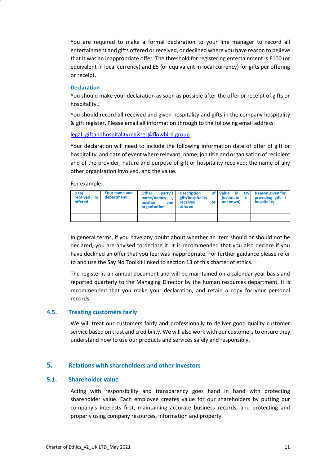You are required to make a formal declaration to your line manager to record all entertainment and gifts offered or received, or declined where you have reason to believe that it was an inappropriate offer. The threshold for registering entertainment is £100 (or equivalent in local currency) and £5 (or equivalent in local currency) for gifts per offering or receipt.

# **Declaration**

You should make your declaration as soon as possible after the offer or receipt of gifts or hospitality..

You should record all received and given hospitality and gifts in the company hospitality & gift register. Please email all information through to the following email address:

# legal\_giftandhospitalityregister@flowbird.group

Your declaration will need to include the following information date of offer of gift or hospitality, and date of event where relevant; name, job title and organisation of recipient and of the provider; nature and purpose of gift or hospitality received; the name of any other organisation involved, and the value.

For example:

| <b>Date</b><br>received<br>or<br>offered | Your name and<br>department | party's<br><b>Other</b><br>name/names<br>position<br>and<br>organisation | <b>Description</b><br>gift/hospitality<br>received<br>or<br>offered | US.<br>of Value<br><b>in</b><br>if<br>lestimate<br>unknown) | <b>Reason given for</b><br>providing gift<br>hospitality |
|------------------------------------------|-----------------------------|--------------------------------------------------------------------------|---------------------------------------------------------------------|-------------------------------------------------------------|----------------------------------------------------------|
|                                          |                             |                                                                          |                                                                     |                                                             |                                                          |

In general terms, if you have any doubt about whether an item should or should not be declared, you are advised to declare it. It is recommended that you also declare if you have declined an offer that you feel was inappropriate. For further guidance please refer to and use the Say No Toolkit linked to section 13 of this charter of ethics.

The register is an annual document and will be maintained on a calendar year basis and reported quarterly to the Managing Director by the human resources department. It is recommended that you make your declaration, and retain a copy for your personal records.

# **4.5. Treating customers fairly**

We will treat our customers fairly and professionally to deliver good quality customer service based on trust and credibility. We will also work with our customers to ensure they understand how to use our products and services safely and responsibly.

# **5. Relations with shareholders and other investors**

# **5.1. Shareholder value**

Acting with responsibility and transparency goes hand in hand with protecting shareholder value. Each employee creates value for our shareholders by putting our company's interests first, maintaining accurate business records, and protecting and properly using company resources, information and property.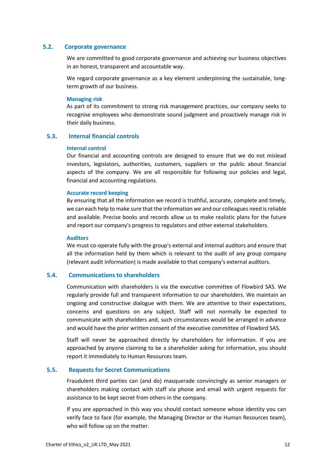# **5.2. Corporate governance**

We are committed to good corporate governance and achieving our business objectives in an honest, transparent and accountable way.

We regard corporate governance as a key element underpinning the sustainable, longterm growth of our business.

#### **Managing risk**

As part of its commitment to strong risk management practices, our company seeks to recognise employees who demonstrate sound judgment and proactively manage risk in their daily business.

# **5.3. Internal financial controls**

#### **Internal control**

Our financial and accounting controls are designed to ensure that we do not mislead investors, legislators, authorities, customers, suppliers or the public about financial aspects of the company. We are all responsible for following our policies and legal, financial and accounting regulations.

## **Accurate record keeping**

By ensuring that all the information we record is truthful, accurate, complete and timely, we can each help to make sure that the information we and our colleagues need is reliable and available. Precise books and records allow us to make realistic plans for the future and report our company's progress to regulators and other external stakeholders.

#### **Auditors**

We must co-operate fully with the group's external and internal auditors and ensure that all the information held by them which is relevant to the audit of any group company (relevant audit information) is made available to that company's external auditors.

# **5.4. Communications to shareholders**

Communication with shareholders is via the executive committee of Flowbird SAS. We regularly provide full and transparent information to our shareholders. We maintain an ongoing and constructive dialogue with them. We are attentive to their expectations, concerns and questions on any subject. Staff will not normally be expected to communicate with shareholders and, such circumstances would be arranged in advance and would have the prior written consent of the executive committee of Flowbird SAS.

Staff will never be approached directly by shareholders for information. If you are approached by anyone claiming to be a shareholder asking for information, you should report it immediately to Human Resources team.

# **5.5. Requests for Secret Communications**

Fraudulent third parties can (and do) masquerade convincingly as senior managers or shareholders making contact with staff via phone and email with urgent requests for assistance to be kept secret from others in the company.

If you are approached in this way you should contact someone whose identity you can verify face to face (for example, the Managing Director or the Human Resources team), who will follow up on the matter.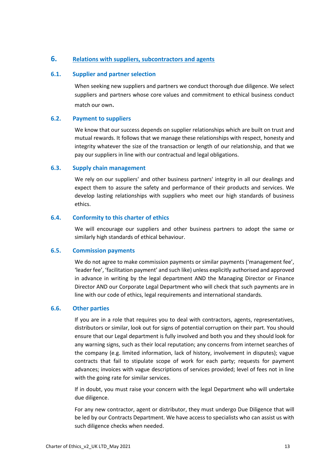# **6. Relations with suppliers, subcontractors and agents**

# **6.1. Supplier and partner selection**

When seeking new suppliers and partners we conduct thorough due diligence. We select suppliers and partners whose core values and commitment to ethical business conduct match our own.

# **6.2. Payment to suppliers**

We know that our success depends on supplier relationships which are built on trust and mutual rewards. It follows that we manage these relationships with respect, honesty and integrity whatever the size of the transaction or length of our relationship, and that we pay our suppliers in line with our contractual and legal obligations.

# **6.3. Supply chain management**

We rely on our suppliers' and other business partners' integrity in all our dealings and expect them to assure the safety and performance of their products and services. We develop lasting relationships with suppliers who meet our high standards of business ethics.

# **6.4. Conformity to this charter of ethics**

We will encourage our suppliers and other business partners to adopt the same or similarly high standards of ethical behaviour.

# **6.5. Commission payments**

We do not agree to make commission payments or similar payments ('management fee', 'leader fee', 'facilitation payment' and such like) unless explicitly authorised and approved in advance in writing by the legal department AND the Managing Director or Finance Director AND our Corporate Legal Department who will check that such payments are in line with our code of ethics, legal requirements and international standards.

# **6.6. Other parties**

If you are in a role that requires you to deal with contractors, agents, representatives, distributors or similar, look out for signs of potential corruption on their part. You should ensure that our Legal department is fully involved and both you and they should look for any warning signs, such as their local reputation; any concerns from internet searches of the company (e.g. limited information, lack of history, involvement in disputes); vague contracts that fail to stipulate scope of work for each party; requests for payment advances; invoices with vague descriptions of services provided; level of fees not in line with the going rate for similar services.

If in doubt, you must raise your concern with the legal Department who will undertake due diligence.

For any new contractor, agent or distributor, they must undergo Due Diligence that will be led by our Contracts Department. We have access to specialists who can assist us with such diligence checks when needed.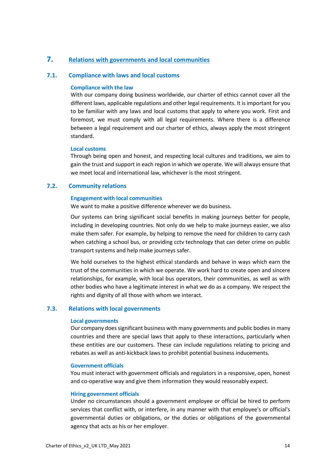# **7. Relations with governments and local communities**

# **7.1. Compliance with laws and local customs**

# **Compliance with the law**

With our company doing business worldwide, our charter of ethics cannot cover all the different laws, applicable regulations and other legal requirements. It is important for you to be familiar with any laws and local customs that apply to where you work. First and foremost, we must comply with all legal requirements. Where there is a difference between a legal requirement and our charter of ethics, always apply the most stringent standard.

# **Local customs**

Through being open and honest, and respecting local cultures and traditions, we aim to gain the trust and support in each region in which we operate. We will always ensure that we meet local and international law, whichever is the most stringent.

# **7.2. Community relations**

# **Engagement with local communities**

We want to make a positive difference wherever we do business.

Our systems can bring significant social benefits in making journeys better for people, including in developing countries. Not only do we help to make journeys easier, we also make them safer. For example, by helping to remove the need for children to carry cash when catching a school bus, or providing cctv technology that can deter crime on public transport systems and help make journeys safer.

We hold ourselves to the highest ethical standards and behave in ways which earn the trust of the communities in which we operate. We work hard to create open and sincere relationships, for example, with local bus operators, their communities, as well as with other bodies who have a legitimate interest in what we do as a company. We respect the rights and dignity of all those with whom we interact.

# **7.3. Relations with local governments**

## **Local governments**

Our company does significant business with many governments and public bodies in many countries and there are special laws that apply to these interactions, particularly when these entities are our customers. These can include regulations relating to pricing and rebates as well as anti-kickback laws to prohibit potential business inducements.

## **Government officials**

You must interact with government officials and regulators in a responsive, open, honest and co-operative way and give them information they would reasonably expect.

## **Hiring government officials**

Under no circumstances should a government employee or official be hired to perform services that conflict with, or interfere, in any manner with that employee's or official's governmental duties or obligations, or the duties or obligations of the governmental agency that acts as his or her employer.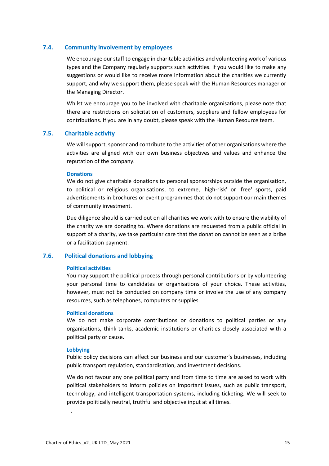# **7.4. Community involvement by employees**

We encourage our staff to engage in charitable activities and volunteering work of various types and the Company regularly supports such activities. If you would like to make any suggestions or would like to receive more information about the charities we currently support, and why we support them, please speak with the Human Resources manager or the Managing Director.

Whilst we encourage you to be involved with charitable organisations, please note that there are restrictions on solicitation of customers, suppliers and fellow employees for contributions. If you are in any doubt, please speak with the Human Resource team.

## **7.5. Charitable activity**

We will support, sponsor and contribute to the activities of other organisations where the activities are aligned with our own business objectives and values and enhance the reputation of the company.

#### **Donations**

We do not give charitable donations to personal sponsorships outside the organisation, to political or religious organisations, to extreme, 'high-risk' or 'free' sports, paid advertisements in brochures or event programmes that do not support our main themes of community investment.

Due diligence should is carried out on all charities we work with to ensure the viability of the charity we are donating to. Where donations are requested from a public official in support of a charity, we take particular care that the donation cannot be seen as a bribe or a facilitation payment.

# **7.6. Political donations and lobbying**

# **Political activities**

You may support the political process through personal contributions or by volunteering your personal time to candidates or organisations of your choice. These activities, however, must not be conducted on company time or involve the use of any company resources, such as telephones, computers or supplies.

# **Political donations**

We do not make corporate contributions or donations to political parties or any organisations, think-tanks, academic institutions or charities closely associated with a political party or cause.

## **Lobbying**

.

Public policy decisions can affect our business and our customer's businesses, including public transport regulation, standardisation, and investment decisions.

We do not favour any one political party and from time to time are asked to work with political stakeholders to inform policies on important issues, such as public transport, technology, and intelligent transportation systems, including ticketing. We will seek to provide politically neutral, truthful and objective input at all times.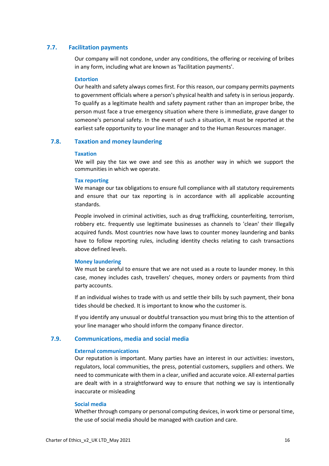# **7.7. Facilitation payments**

Our company will not condone, under any conditions, the offering or receiving of bribes in any form, including what are known as 'facilitation payments'.

## **Extortion**

Our health and safety always comes first. For this reason, our company permits payments to government officials where a person's physical health and safety is in serious jeopardy. To qualify as a legitimate health and safety payment rather than an improper bribe, the person must face a true emergency situation where there is immediate, grave danger to someone's personal safety. In the event of such a situation, it must be reported at the earliest safe opportunity to your line manager and to the Human Resources manager.

# **7.8. Taxation and money laundering**

#### **Taxation**

We will pay the tax we owe and see this as another way in which we support the communities in which we operate.

## **Tax reporting**

We manage our tax obligations to ensure full compliance with all statutory requirements and ensure that our tax reporting is in accordance with all applicable accounting standards.

People involved in criminal activities, such as drug trafficking, counterfeiting, terrorism, robbery etc. frequently use legitimate businesses as channels to 'clean' their Illegally acquired funds. Most countries now have laws to counter money laundering and banks have to follow reporting rules, including identity checks relating to cash transactions above defined levels.

## **Money laundering**

We must be careful to ensure that we are not used as a route to launder money. In this case, money includes cash, travellers' cheques, money orders or payments from third party accounts.

If an individual wishes to trade with us and settle their bills by such payment, their bona tides should be checked. It is important to know who the customer is.

If you identify any unusual or doubtful transaction you must bring this to the attention of your line manager who should inform the company finance director.

# **7.9. Communications, media and social media**

## **External communications**

Our reputation is important. Many parties have an interest in our activities: investors, regulators, local communities, the press, potential customers, suppliers and others. We need to communicate with them in a clear, unified and accurate voice. All external parties are dealt with in a straightforward way to ensure that nothing we say is intentionally inaccurate or misleading

# **Social media**

Whether through company or personal computing devices, in work time or personal time, the use of social media should be managed with caution and care.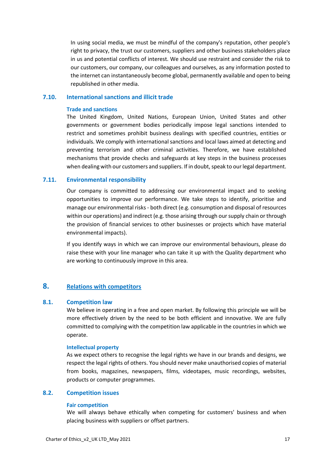In using social media, we must be mindful of the company's reputation, other people's right to privacy, the trust our customers, suppliers and other business stakeholders place in us and potential conflicts of interest. We should use restraint and consider the risk to our customers, our company, our colleagues and ourselves, as any information posted to the internet can instantaneously become global, permanently available and open to being republished in other media.

# **7.10. International sanctions and illicit trade**

## **Trade and sanctions**

The United Kingdom, United Nations, European Union, United States and other governments or government bodies periodically impose legal sanctions intended to restrict and sometimes prohibit business dealings with specified countries, entities or individuals. We comply with international sanctions and local laws aimed at detecting and preventing terrorism and other criminal activities. Therefore, we have established mechanisms that provide checks and safeguards at key steps in the business processes when dealing with our customers and suppliers. If in doubt, speak to our legal department.

# **7.11. Environmental responsibility**

Our company is committed to addressing our environmental impact and to seeking opportunities to improve our performance. We take steps to identify, prioritise and manage our environmental risks - both direct (e.g. consumption and disposal of resources within our operations) and indirect (e.g. those arising through our supply chain or through the provision of financial services to other businesses or projects which have material environmental impacts).

If you identify ways in which we can improve our environmental behaviours, please do raise these with your line manager who can take it up with the Quality department who are working to continuously improve in this area.

# **8. Relations with competitors**

# **8.1. Competition law**

We believe in operating in a free and open market. By following this principle we will be more effectively driven by the need to be both efficient and innovative. We are fully committed to complying with the competition law applicable in the countries in which we operate.

#### **Intellectual property**

As we expect others to recognise the legal rights we have in our brands and designs, we respect the legal rights of others. You should never make unauthorised copies of material from books, magazines, newspapers, films, videotapes, music recordings, websites, products or computer programmes.

# **8.2. Competition issues**

#### **Fair competition**

We will always behave ethically when competing for customers' business and when placing business with suppliers or offset partners.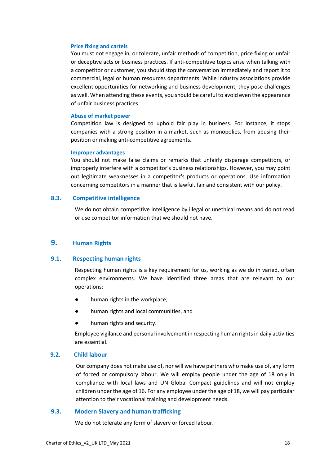#### **Price fixing and cartels**

You must not engage in, or tolerate, unfair methods of competition, price fixing or unfair or deceptive acts or business practices. If anti-competitive topics arise when talking with a competitor or customer, you should stop the conversation immediately and report it to commercial, legal or human resources departments. While industry associations provide excellent opportunities for networking and business development, they pose challenges as well. When attending these events, you should be careful to avoid even the appearance of unfair business practices.

#### **Abuse of market power**

Competition law is designed to uphold fair play in business. For instance, it stops companies with a strong position in a market, such as monopolies, from abusing their position or making anti-competitive agreements.

#### **Improper advantages**

You should not make false claims or remarks that unfairly disparage competitors, or improperly interfere with a competitor's business relationships. However, you may point out legitimate weaknesses in a competitor's products or operations. Use information concerning competitors in a manner that is lawful, fair and consistent with our policy.

# **8.3. Competitive intelligence**

We do not obtain competitive intelligence by illegal or unethical means and do not read or use competitor information that we should not have.

# **9. Human Rights**

# **9.1. Respecting human rights**

Respecting human rights is a key requirement for us, working as we do in varied, often complex environments. We have identified three areas that are relevant to our operations:

- human rights in the workplace;
- human rights and local communities, and
- human rights and security.

Employee vigilance and personal involvement in respecting human rights in daily activities are essential.

# **9.2. Child labour**

Our company does not make use of, nor will we have partners who make use of, any form of forced or compulsory labour. We will employ people under the age of 18 only in compliance with local laws and UN Global Compact guidelines and will not employ children under the age of 16. For any employee under the age of 18, we will pay particular attention to their vocational training and development needs.

#### **9.3. Modern Slavery and human trafficking**

We do not tolerate any form of slavery or forced labour.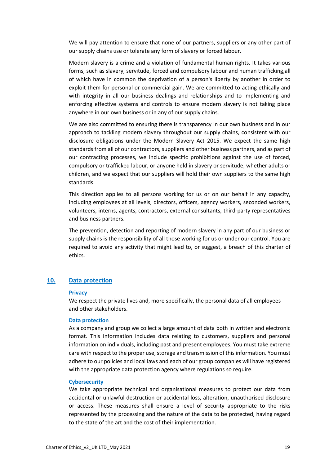We will pay attention to ensure that none of our partners, suppliers or any other part of our supply chains use or tolerate any form of slavery or forced labour.

Modern slavery is a crime and a violation of fundamental human rights. It takes various forms, such as slavery, servitude, forced and compulsory labour and human trafficking,all of which have in common the deprivation of a person's liberty by another in order to exploit them for personal or commercial gain. We are committed to acting ethically and with integrity in all our business dealings and relationships and to implementing and enforcing effective systems and controls to ensure modern slavery is not taking place anywhere in our own business or in any of our supply chains.

We are also committed to ensuring there is transparency in our own business and in our approach to tackling modern slavery throughout our supply chains, consistent with our disclosure obligations under the Modern Slavery Act 2015. We expect the same high standards from all of our contractors, suppliers and other business partners, and as part of our contracting processes, we include specific prohibitions against the use of forced, compulsory or trafficked labour, or anyone held in slavery or servitude, whether adults or children, and we expect that our suppliers will hold their own suppliers to the same high standards.

This direction applies to all persons working for us or on our behalf in any capacity, including employees at all levels, directors, officers, agency workers, seconded workers, volunteers, interns, agents, contractors, external consultants, third-party representatives and business partners.

The prevention, detection and reporting of modern slavery in any part of our business or supply chains is the responsibility of all those working for us or under our control. You are required to avoid any activity that might lead to, or suggest, a breach of this charter of ethics.

# **10. Data protection**

#### **Privacy**

We respect the private lives and, more specifically, the personal data of all employees and other stakeholders.

#### **Data protection**

As a company and group we collect a large amount of data both in written and electronic format. This information includes data relating to customers, suppliers and personal information on individuals, including past and present employees. You must take extreme care with respect to the proper use, storage and transmission of this information. You must adhere to our policies and local laws and each of our group companies will have registered with the appropriate data protection agency where regulations so require.

#### **Cybersecurity**

We take appropriate technical and organisational measures to protect our data from accidental or unlawful destruction or accidental loss, alteration, unauthorised disclosure or access. These measures shall ensure a level of security appropriate to the risks represented by the processing and the nature of the data to be protected, having regard to the state of the art and the cost of their implementation.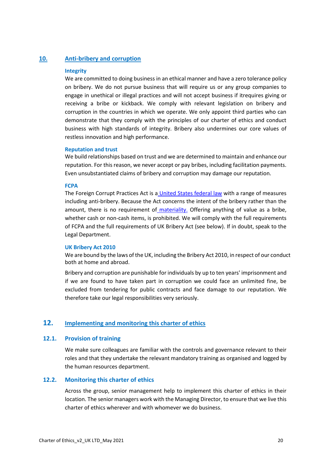# **10. Anti-bribery and corruption**

## **Integrity**

We are committed to doing business in an ethical manner and have a zero tolerance policy on bribery. We do not pursue business that will require us or any group companies to engage in unethical or illegal practices and will not accept business if itrequires giving or receiving a bribe or kickback. We comply with relevant legislation on bribery and corruption in the countries in which we operate. We only appoint third parties who can demonstrate that they comply with the principles of our charter of ethics and conduct business with high standards of integrity. Bribery also undermines our core values of restless innovation and high performance.

#### **Reputation and trust**

We build relationships based on trust and we are determined to maintain and enhance our reputation. For this reason, we never accept or pay bribes, including facilitation payments. Even unsubstantiated claims of bribery and corruption may damage our reputation.

#### **FCPA**

The Foreign Corrupt Practices Act is a United States federal law with a range of measures including anti-bribery. Because the Act concerns the intent of the bribery rather than the amount, there is no requirement of materiality. Offering anything of value as a bribe, whether cash or non-cash items, is prohibited. We will comply with the full requirements of FCPA and the full requirements of UK Bribery Act (see below). If in doubt, speak to the Legal Department.

#### **UK Bribery Act 2010**

We are bound by the laws of the UK, including the Bribery Act 2010, in respect of our conduct both at home and abroad.

Bribery and corruption are punishable for individuals by up to ten years' imprisonment and if we are found to have taken part in corruption we could face an unlimited fine, be excluded from tendering for public contracts and face damage to our reputation. We therefore take our legal responsibilities very seriously.

# **12. Implementing and monitoring this charter of ethics**

## **12.1. Provision of training**

We make sure colleagues are familiar with the controls and governance relevant to their roles and that they undertake the relevant mandatory training as organised and logged by the human resources department.

# **12.2. Monitoring this charter of ethics**

Across the group, senior management help to implement this charter of ethics in their location. The senior managers work with the Managing Director, to ensure that we live this charter of ethics wherever and with whomever we do business.